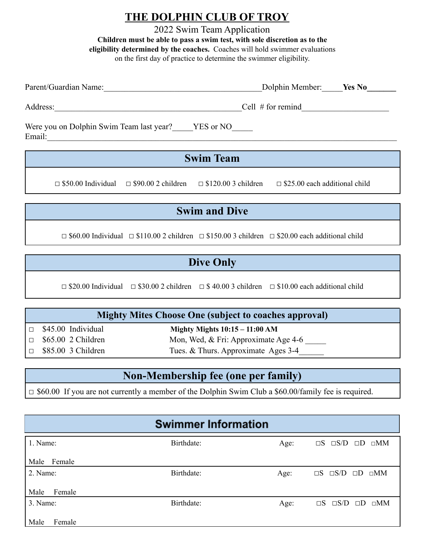# **THE DOLPHIN CLUB OF TROY**

2022 Swim Team Application **Children must be able to pass a swim test, with sole discretion as to the eligibility determined by the coaches.** Coaches will hold swimmer evaluations on the first day of practice to determine the swimmer eligibility.

| Dolphin Member: Yes No<br>Parent/Guardian Name:              |                           |                            |                                      |  |  |  |
|--------------------------------------------------------------|---------------------------|----------------------------|--------------------------------------|--|--|--|
| Address:<br>Cell $#$ for remind                              |                           |                            |                                      |  |  |  |
| Were you on Dolphin Swim Team last year? YES or NO<br>Email: |                           |                            |                                      |  |  |  |
| <b>Swim Team</b>                                             |                           |                            |                                      |  |  |  |
| $\Box$ \$50.00 Individual                                    | $\Box$ \$90.00 2 children | $\Box$ \$120.00 3 children | $\Box$ \$25.00 each additional child |  |  |  |

# **Swim and Dive**

 $\Box$  \$60.00 Individual  $\Box$  \$110.00 2 children  $\Box$  \$150.00 3 children  $\Box$  \$20.00 each additional child

# **Dive Only**

 $\Box$  \$20.00 Individual  $\Box$  \$30.00 2 children  $\Box$  \$40.00 3 children  $\Box$  \$10.00 each additional child

#### **Mighty Mites Choose One (subject to coaches approval)**

□ \$45.00 Individual **Mighty Mights 10:15 – 11:00 AM** □ \$65.00 2 Children Mon, Wed, & Fri: Approximate Age 4-6 □ \$85.00 3 Children Tues. & Thurs. Approximate Ages 3-4

### **Non-Membership fee (one per family)**

□ \$60.00 If you are not currently a member of the Dolphin Swim Club a \$60.00/family fee is required.

|                | <b>Swimmer Information</b> |      |                                           |
|----------------|----------------------------|------|-------------------------------------------|
| 1. Name:       | Birthdate:                 | Age: | $\Box S$ $\Box S/D$ $\Box D$ $\Box MM$    |
| Female<br>Male |                            |      |                                           |
| 2. Name:       | Birthdate:                 | Age: | $\Box S$ $\Box S/D$ $\Box D$ $\Box MM$    |
| Male<br>Female |                            |      |                                           |
| 3. Name:       | Birthdate:                 | Age: | $\Box$ S/D $\Box$ D $\Box$ MM<br>$\Box S$ |
| Male<br>Female |                            |      |                                           |